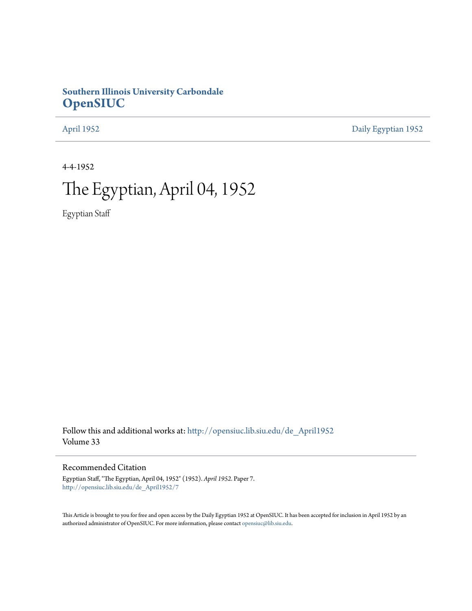## **Southern Illinois University Carbondale [OpenSIUC](http://opensiuc.lib.siu.edu?utm_source=opensiuc.lib.siu.edu%2Fde_April1952%2F7&utm_medium=PDF&utm_campaign=PDFCoverPages)**

[April 1952](http://opensiuc.lib.siu.edu/de_April1952?utm_source=opensiuc.lib.siu.edu%2Fde_April1952%2F7&utm_medium=PDF&utm_campaign=PDFCoverPages) [Daily Egyptian 1952](http://opensiuc.lib.siu.edu/de_1952?utm_source=opensiuc.lib.siu.edu%2Fde_April1952%2F7&utm_medium=PDF&utm_campaign=PDFCoverPages)

4-4-1952

# The Egyptian, April 04, 1952

Egyptian Staff

Follow this and additional works at: [http://opensiuc.lib.siu.edu/de\\_April1952](http://opensiuc.lib.siu.edu/de_April1952?utm_source=opensiuc.lib.siu.edu%2Fde_April1952%2F7&utm_medium=PDF&utm_campaign=PDFCoverPages) Volume 33

Recommended Citation

Egyptian Staff, "The Egyptian, April 04, 1952" (1952). *April 1952.* Paper 7. [http://opensiuc.lib.siu.edu/de\\_April1952/7](http://opensiuc.lib.siu.edu/de_April1952/7?utm_source=opensiuc.lib.siu.edu%2Fde_April1952%2F7&utm_medium=PDF&utm_campaign=PDFCoverPages)

This Article is brought to you for free and open access by the Daily Egyptian 1952 at OpenSIUC. It has been accepted for inclusion in April 1952 by an authorized administrator of OpenSIUC. For more information, please contact [opensiuc@lib.siu.edu](mailto:opensiuc@lib.siu.edu).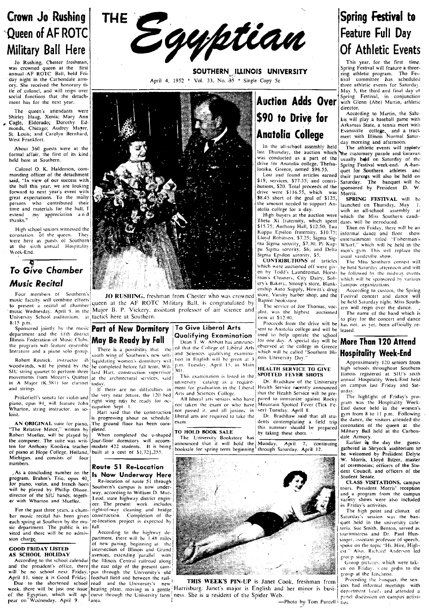# Crown Jo Rushing 'Queen of AF ROTC Military Ball Here

was crowned queen at the first annual ·AF ROTC Ball, held Fri- . day night in the Carbondale armory. She received the honorary ti-<br>tle of colonel, and will reign over the of colonel, and will reign over ment has for ihe next year.

The queen's attendants were Shirley Haug, Xenia; Mary Ann r Cagle, Eldorado; Dorothy Ed-monds. Chicago; Audrey Mayer, St. Louis; and Carolyn Bernhard, West Frankfort.

About 360 guests were at the formal affair, the first of its kind held here at Southern.

Colonel O. K. Halderson, commanding officer of the detachment said. "In view of our success with the ball this year, we are looking forward to next year's event with great expectations. To the many<br>persons who contributed their time and materials for the ball, I<br>extend my appreciation and<br>thanks."

High school seniors witnessed the coronation of the queen. They were here as guests of Southern at the sixth annual Hospitality Week-End.

## <sup>~</sup>To *Give Chamber Music Recital*

SIC string quartet to perform three lard Hart, construction supervisor 301.<br>
movements from Mozart's Quintet at the architectural services, said in the SPOTTED FEVER SHOTS IJJlinois registered at SIU's sixth<br>
in A Major (K

To HOLD BOOK SALE<br>
To HOLD BOOK SALE<br>
To HOLD BOOK SALE<br>
To HOLD BOOK SALE<br>
To University Bookstore has<br>
the Compare of piano at Hope College, Holland, built at a cost of \$1,723,255.<br>
The University Bookstore has with hold



SOUTHERN. ILLINOIS UNIVERSITY April 4, 1952 \* Vol. 33, No.  $35$  \* Single Copy 5c



Four members of Southern's **Four members of Southern's JO RUSHING.** freshman from Chester who was crowned store. Varsity barber shop, and the Festival concert and dance will music faculty will combine efforts and the AF The second and the Second and the Second and the AF ROTC Military Ball, is congratulated by Baptist bookstore.<br>
The service of Joe Thomas, vocation of the bebelof Saturday night. Miss South-<br>
music Wednesday, April 9. In t music Wednesday, April 9. in the MaJOT B. P. VIckery. assistant professor of air science and alist, was the highest auctioned The name of the band which is Interior and the AF ROTC Military Ball, is congratulated by applied by the second the held Saturday night. Miss Southern.<br>
University of the Major B. P. Vickery, assistant professor of air science and ilist, was the highes Simple of the music Recent and the Spin at Signal and the spin at Signal and the spin at the driven in the Spin and the Spin at the AF ROTC Military Ball, is congratulated by a paint both and the Estival concert and dance

Robert Resnick, instructor in south will be southern's new sen-<br>Robert Resnick, instructor in iguidating women's dormitory will

Prokofieft's sonata for violin and the very near future, the 120 hed Arts and Sciences College. That the Health Service will be pre-

Re-Iocation of route 51 through way, according to William D. Mac-

 $\begin{bmatrix}$   $\begin{bmatrix} 1 & 1 \\ 1 & 0 \end{bmatrix}$  tion in English will be gi woodwinds, will be joined by the he completed before fall term. Wil- p.m. Tuesday. April 15. in Main HEALTH SERVICE TO GIVE high schools throughout Southern

and strings.<br>
If there are no difficulties in ment for graduation in the Liberal Health Service recently announced<br>
and strings.<br> **Probable of the Contract of the Contract of the Contract of the Very near future**, the 120

piano, opus 94, will feature John I cupation Sept. 1. e ready for oc-<br>Part of the Mountain Spotted Fever (Tick Fe- right denote hadden the exam or who have Mountain Spotted Fever (Tick Fe- r:; d::;d::c and denote hald in t IS April 8, 100 ... The construction and the construction of the second it, and all juniors, in ver) luesday. April 8, 20 from 8 to 11 p.m. Following: Hart said that the construction liberal arts are required to 11 p.m. Fo



day morning and afternoon.<br>In the all-school assembly held The athletic events will replace<br>last Thursday, the auction which  $\mathbb{N}_{\text{He}}$  eustomary parade and caravan

Lost and found articles earned their p<br>S19; services, \$77.55; and contri-<br>Saturda<br>drive were \$116.55, which was Morris.<br>drive were \$116.55, which was Morris.<br>\$8.45 short of the goal of \$125, the amount needed to support An-<br>atolia college for a day.

I Fran ouyers at the auction were which the Miss Southern candi-<br>Theta Xi fraternity, which spent dates will be introduced.<br>[\$15.75; Anthony Hall, \$12.50; Tau Then on Friday, there will be an pa Sigma sorority, \$6; and Delta  $\begin{bmatrix} \text{meas} \\ \text{meas} \end{bmatrix}$  usual variety.  $\begin{bmatrix} 1 & 1 & 1 \\ 1 & 1 & 1 \end{bmatrix}$  usual variety item  $\begin{bmatrix} 1 & 1 & 1 \\ 1 & 1 & 1 \end{bmatrix}$  and variety if  $\begin{bmatrix} 1 & 1 & 1 \\ 1 & 1 & 1 \end{bmatrix}$  and the solutio

which were auctioned off were given<br>on by Todd's Laundromat, Horst-<br>man's Cleaners, City Dairy, Sobery's Bakery, Stroup's store, Blank-<br>enship Auto Supply, Hewitt's drug<br>store, Varsity barber shop, and the

Sponsored jointly by the music **Part of New Dormitory To Give Liberal Arts** sent to Anatolia college and will be leased.<br> **Contract and the light of the light of the sent of the sent of the light of the light of the lig** department and the fifth district **May Be Ready by Fall**<br>Illinois Federation of Music Clubs. **May Be Ready by Fall**<br>Interature and a piano solo group. There is a possibility that the College of Liberal Arts observed at the Dean T. W. About as a nonce of the program will feature encode that the college of Liberal Arts and Section of Music Clubs. May Be Ready by Fall Dean T. W. About as anounce for one day. A special day will be More Than 120 In Secret of the sense of the Home and alist, was the highest auctioned<br>
Inc. was the highest auctioned<br>
item at \$12.90,<br>
item at \$12.90,<br>
Proceeds from the drive will be has not, as yet, been officially re-<br> **Proceed at t** 



April 11. since it is Good Friday. [football field and between the rail-<br>Due to the shortend school from a many of the University's new, **THIS WEEK'S PIN-UP** is Janet Cook, freshman from Terriceding the banquet, the sen-<br>W of the Egyptian. which will ap-leasting plant, moving in a gentle Harrisburg. Janet's major is English and her minor is oust-<br>I really interest the Egyptian. Will app-leave through the University farm I ness. She is a resi

# Spring Festival to Feature Full Day Of Athletic Events

Spring Festival will feature a threering athletic program. The Festival committee has scheduled<br>three-athletic-events-for-Saturday. May 3, the third and final day of Spring Festival, in conjunction with Glenn (Abe) Martin, athletic director.

AccOrding to Martin. the Salukis will play a baseball game with Arkansas State, a tennis meet with Evansville college and a track meet with Illinois Normal Satur-

last Thursday, the auction which the customary parade and 'Caravan was conducted as a part of the usually held on Saturday of the drive for Anatolia college, Thefsa- Spring Festival week-end. A-bandrive for Anatolia college, Thefsa- Spring Festival week-end. A ban-<br>lonika, Greece, netted \$96.55. Jouet for Southern athletes and sping **commer from enteries** and Lost and found articles earned their parents will also be held on<br>\$19; services, \$77.55; and contri- Saturday. The banquet will be<br>butions, \$20. Total proceeds of the sponsored by President D. W.

**SPRING FESTIVAL** will be launched on Thursday, May 1. olia college for a day.<br>High buyers at the auction were which the Miss Southern ca which the Miss Southern candi-<br>dates will be introduced.

| ma Sigma sorority, \$7.30; Pi Kap- $\vert$ Wharf," which will be held in the Sigma sorority, \$6; and Delta  $\vert$  men's gym. This will replace the Sigma Environment of Sigma Theory of Sigma This will replace the Kappa Epsilon fraternity. \$10.75; informal dance and floor show entertainment titled "Fisherman's<br>Wharf," which will be held in the

The Miss Southern contest will he held Saturday afternoon and will be followed by the midway events which will be sponsored by various<br>campus organizations.

Approximately 120 seniors from

Planto, opus 94, will teature Jones.<br>
What there is the structure on schedule. Have the intervention of the the Construction are required to take the I Dr. Bradshaw said that all stu-<br>
Is progressing about on schedule. [Br AN ORIGINAL suite for piano, The ground floor has been con-<br>
The Relative Minor," written by pleted.<br>
The Relative Minor," written by pleted.<br>
The Relative Minor," written by pleted.<br>
The Relative Minor," written by pleted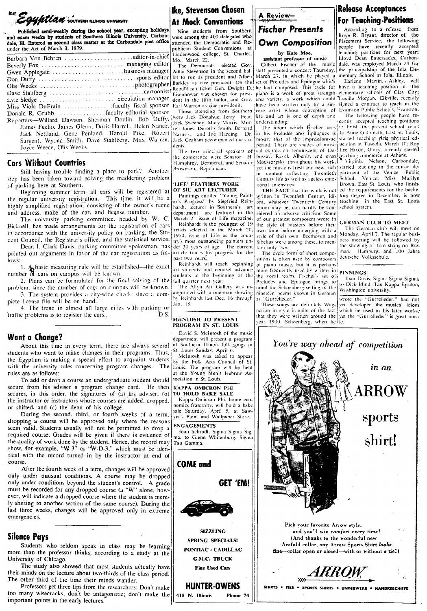

Published semi-weekly during the school year, excepting holidays<br>and exam weeks by students of Southern Illinois University, Carbondale, Hl. Entered as second class matter at the Carbondale post office under the Act of March 3, 1879.

| Gwen Applegate business manager                      |                                                       |
|------------------------------------------------------|-------------------------------------------------------|
|                                                      |                                                       |
|                                                      |                                                       |
|                                                      |                                                       |
|                                                      |                                                       |
| Miss Viola DuFrain  faculty fiscal sponsor           |                                                       |
| Donald R. Grubb faculty editorial sponsor            |                                                       |
| Reporters-Willard Dawson. Sherman Doolin. Bob Duffy. |                                                       |
|                                                      | James Fecho, James Glenn, Doris Harrell. Helen Nance, |
|                                                      | Jack Nettland, Gene Penland. Harold Pike. Robert      |
|                                                      | Sargent, Wyona Smith, Dave Stahlberg, Max Warren,     |
| Joyce Weece, Olis Weeks.                             |                                                       |
|                                                      |                                                       |

#### **Cars Without Countries**

Still having trouble finding a place to park? Another step has been taken toward solving the maddening problem of parking here at Southern.

Beginning summer term all cars will be registered at OF SIU ART LECTURER the regular university registration. This time, it will be a highly simplified registration, consisting of the owner's name and address, make of the car, and license number.

The university parking committee, headed by W. C. Bicknell, has made arrangements for the registration of cars in accordance with the university policy on parking, the Student Council, the Registrar's office, and the statistical service.

pointed out arguments in favor of the car registration as follows:

1. A basic measuring rule will be established—the exact number of cars on campus will be known.

2. Plans can be formulated for the final solving of the problem, since the number of cars on campus will be known. 3. The system provides a city-wide check-since a com-

plete license file will be on hand. 4. The trend in almost all large cities with parking or

traffic problems is to register the cars.

#### Want a Change?

About this time in every term, there are always several students who want to make changes in their programs. Thus, the Egyptian is making a special effort to acquaint students with the university rules concerning program changes. The rules are as follows:

To add or drop a course an undergraduate student should secure from his adviser a program change card. He then secures, in this order, the signatures of (a) his adviser, (b) the instructor or instructors whose courses are added, dropped. or shifted, and (c) the dean of his college.

During the second, third, or fourth weeks of a term, dropping a course will be approved only where the reasons From valid. Students usually will not be permitted to drop a required course. Grades will be given if there is evidence of the quality of work done by the student. Hence, the record may show, for example, "W-3" or "W-D-3," which must be identical with the record turned in by the instructor at end of course.

After the fourth week of a term, changes will be approved only under unusual conditions. A course may be dropped only under conditions beyond the student's control. A grade must be recorded for any dropped course (a "W" alone, however, will indicate a dropped course where the student is merely shifting to another section of the same course). During the last three weeks, changes will be approved only in extreme emergencies.

### **Silence Pays**

Students who seldom speak in class may be learning more than the professor thinks, according to a study at the University of Chicago.

The study also showed that most students actually have their minds on the lecture about two-thirds of the class period. The other third of the time their minds wander.

Professors get three tips from the researchers: Don't make too many wisecracks; don't be antagonistic; don't make the important points in the early lectures.

## |Ike, Stevenson Chosen **At Mock Conventions**

Nine students from Southern were among the 400 delegates who attended the Democratic and Reublican Student Conventions at Lindenwood college, St. Charles,<br>Mo., March 22.

The Democrats elected Gov. Adlai Stevenson in the second ballot to run as president and Alben Barkley as vice president. On the dent in the fifth ballot, and Gov. Earl Warren as vice presidenit.

Those attending from Southern<br>were Jack Donahue, Jerry Fear, Jack Sweeney, Mary Morris, Murrell Jones, Dorothy Smith, Bernard and Joe Harding. Dr. Narusis, Jack Graham accompanied the students

The two principal speakers of the conference were Senator H. Humphrey, Democrat, and Senator Brownson. Republican.

## LIFE' FEATURES WORK

Paintings entitled "Young Paint-<br>er's Progress" by Siegfried Reinhardt, lecturer in Southern's art department are featured in the<br>March 24 issue of Life magazine.

Reinhardt is the youngest of 19 artists selected in the March 20,<br>1950, issue of Life as the coun-Council, the Registrar's office, and the statistical service.  $\frac{1}{\text{try's most outstanding patients un-  
Dean I. Clark Davis, parking committee spokesman. has  $\frac{1}{\text{der 30 years of age. The current}}$$ article traces his progress for the past two years.

Reinhardt will teach beginning art students and counsel advance students at the beginning of the fall quarter next year

The Allyn Art Gallery was inaugurated with a one-man showing by Reinhardt last Dec. 16 through Jan. 18.

#### McINTOSH TO PRESENT PROGRAM IN ST. LOUIS

David S. MeIntosh of the music department will present a program of Southern Illinois folk songs in

St. Louis Sunday, April 6.<br>McIntosh was asked to appear by the Folk Arts Council of St. Louis. The program will be held<br>at the Young Men's Hebrew Association in St. Louis.

**КАРРА ОМІСКОМ РНІ** TO HOLD BAKE SALE

Kappa Omicron Phi, home economics fraternity, will hold a bake sale Saturday, April 5, at Saw-<br>yer's Paint and Wallpaper Store.

**ENGAGEMENTS** 

Joan Schrodt, Sigma Sigma Sig-<br>ma, to Glenn Whitenburg, Sigma Tau Gamma.



**HUNTER-OWENS** 

Phone 74

415 N. Illinois



#### assistant professor of music

Gilbert Fischer of the music staff presented a concert Thursday, the principalship of the Iola Ele-March 27, in which he played a set of Preludes and Epilogue which have been written only by a sincere artist whose conception of life and art is one of depth and underständing.

The idiom which Hischer uses in his Preludes and Epilogues is mostly that of the impressionistic period. There are shades of musical expression reminiscent of Debussey. Ravel, Albeniz, and even licaching commerce at Athens.<br>Moussey, Ravel, Albeniz, and even licaching commerce at Athens. in content reflecting Twentieth Century life as well as ageless emotional intensities.

THE FACT that the work is not written in Twentieth Century idiom, whatever Twentieth Century idiom may be, can hardly be considered an adverse criticism. Some of our greatest composers wrote in the style of masters before their own time before emerging with a style of their own. Beethoven and Sibelius were among these, to mention only two.

The evele form of short compoitions is often used by composers of piano music, but it is perhaps more frequently used by writers in the vocal realm. Fischer's set of Preludes and Epilogue brings to mind the Schoenberg setting of the nineteen poems known in German as "Gurrelieder."

These songs are definitely Wag-<br>nerian in style in spite of the fact that they were written around the year 1900. Schoenberg, when he ic.

## **Release Acceptances For Teaching Positions**

According to a release from<br>Roye R. Bryant, director of the Placement Service, the following people have recently accepted reaching positions for next year:<br>Lloyd Dean Bauersacks, Carbon-<br>dale, was employed March 24 for mentary School at Iola, Illinois.

Earlene Martin, Ashley, will Bapublican licket Gen. Dwight D. the had composed. This cycle for have a teaching position in the Republican licket Gen. Dwight D. the had composed. This cycle for have a teaching position in the and variety, a work which could Lucille Morgan. Elkville, recently signed a contract to teach in the Evanston Public Schools, Evanston.

The following people have recently accepted teaching positions to finish the present school year: Jo Anne Galbreath, East St. Louis, started teaching girls physical education at Tuscola, March 10; Roy Lee Hixon, Olney, recently started

vet the music is fresh and new, rich started teaching in the music department of the Venice Public<br>School, Venice; Miss Marilyn Brown, East St. Louis, who finished the requirements for the bachelors degree in December, is now teaching in the East St. Louis school system.

#### **GERMAN CLUB TO MEET**

The German club will meet on Monday, April 7. The regular business meeting will be followed by the showing of film strips on Bre-<br>men. Hamburg, and 100 Jahre deutsche Volksschule.

#### **PINNINGS**

Joan Davis, Sigma Sigma Sigma, to Dick Blind, Tau Kappa Epsilon, Washington university,

wrote the "Gurrelieder," had not vet developed the musical idiom which he used in his later works,



Pick your favorite Arrow style, and you'll win comfort every time! (And thanks to the wonderful new Arafold collar, any Arrow Sports Shirt looks fine-collar open or closed-with or without a tie!)

**ARROW** 

SHIRTS . TIES . SPORTS SHIRTS . UNDERWEAR . HANDKERCHIEFS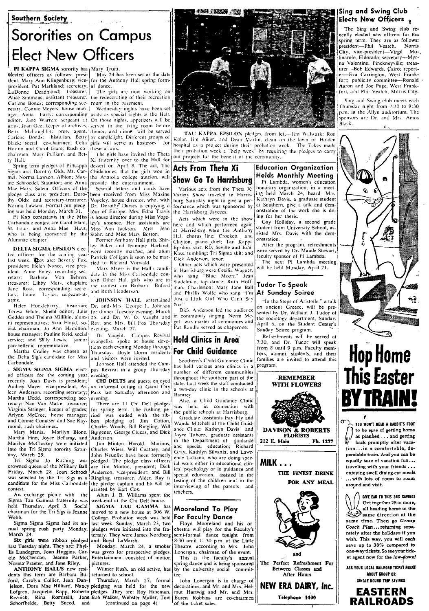#### Southern Society

# Sororities on Campus **Elect New Officers**

PI KAPPA SIGMA sorority has | Mary Truitt.

elected officers as follows: president, Mary Ann Klingenburg; vicepresident, Pat Markland; secretary, LaDonne Deadmond; treasurer, Alice Simmons; assistant treasurer, retary. Connie Meyers; house manager, Anita Early; corresponding editor. Jane Warren: sergeant at! arms. Joan Gee; keeper of archives, Betty McLaughlin: press agent. Carlene Bonds; historian, Betty Black: social co-chairmen. Celia Hutton and Carol Elam; Rush cochairmen. Mary Pulliam, and Betty Hall.

Spring term pledges of Pi Kappa Sigma are: Dorothy Olds, Mt. Carmel: Norma Lawson. Albion; Maxine Schroedel, Staunton; and Anna Mae Hays, Salem. Officers of the pledge class are: president, Dorothy Olds; and secretary-treasurer, Norma Lawson. Formal pin pledging was held Monday, March 31.

Pi Kap contestants in the Miss Carbondale contest are Carol Elam, St. Louis, and Anna Mae Hays, who is being sponsored by the Alumnae chapter.

DELTA SIGMA EPSILON elected officers for the coming year president; Helen Nance, vice pres-<br>ident: Anne Foley, recording sec-Von Behren, retary; Barbara treasurer; Libby Mars, chaplain; Jane Ross, corresponding secretarv; Louie Taylor, sergeant-atarms.

Helen Huckleberry, historian; Teresa White, Shield editor; Julie Geddes and Thelma Millikin, alumni representatives: Sara Floyd, social chairman; Jo Ann Hamilton, house manager; Pauline Reid, social service; and Sally Lewis, junior pan-hellenic representative.

pan-neuenic representative.<br>Martha Cralley was chosen as<br>the Delta Sig's candidate for Miss Carbondale.

- SIGMA SIGMA SIGMA elected officers for the coming year recently. Joan Davis is president; Audrey Mayer, vice-president; Aileen Anderson, recording secretary; Martha Dodd, corresponding secretary; Nan Van Matre, treasurer; Virginia Stringer, keeper of grades; Arlynn McCree, house manager, and Connie Conatser and Sue Raymond, rush chairmen.

Mary Mania, Marilyn Bione, Martha Finn, Joyce Bellamy, and Marilyn McCloskey were initiated into the Tri Sigma sorority Saturday, March 29.

Tri Sigma Jo Rushing was crowned queen of the Military Ball Friday, March 28. Joan Schrodt was selected by the Tri Sigs as a candidate for the Miss Carbondale contest.

An exchange picnic with the Sigma Tau Gamma fraternity was held Thursday, April 3. Social<br>chairman for the Tri Sigs is Jeanne Webb.

Sigma Sigma Sigma had its annual spring rush party Monday, March<sup>24</sup>.

Six girls were ribbon pledged last Tuesday night. They are: Phyl-<br>lis Lundegren, Joan Huggins, Carole McClendan, Jeanne Parker, Norma' Praeter, and Jane Riley.<br>ANTHONY HALL'S new resi-

dents this term are Barbara Bu- returned to school. ford, Carolyn Collier, Jean Dan-Schorfheide, Betty Sneed, and

May 24 has been set as the date for the Anthony Hall spring formal dance.

The girls are now working on the redecorating of their recreation room in the basement.

Wednesday nights have been set aside as special nights at the Hall. On those nights, appetizers will be served in the living room before<br>dinner, and dinner will be served by candlelight. Different groups of girls will serve as hostesses for these affairs.

The girls have invited the Theta Xi fraternity over to the Hall for dessert on April 8. The act, The Chideltones, that the girls won in the Anatolia college auteion, will<br>provide the entertainment.

Several letters and cards have been veceived from Miss Maxine Vogeley, house director, who, with Dr. Dorothy Davies is enjoying a tour of Europe. Mrs. Edna Travis is house director during Miss Vogeley's absence. Her assistants are Miss Ann Jackson, Miss Jean<br>Stehr, and Miss Mary Boston.

Former Anthony Hall girls, Shirley Baker and Jeannine Harland, Patricia Colligan is soon to be married to Richard Vorwald.

Mary Myers is the Hall's candidate in the Miss Carbondale contest Other Hall girls who are in the contest are Barbara Buford and Ruth Henderson.

JOHNSON HALL entertained Dr. and Mrs. George L. Johnson For dinner Tuesday evening. March<br>25, and Dr. W. O. Vaught and<br>Rev. and Mrs. Bill Fox Thursday evening. March 27.

Dr. Vaught, Campus Revival evangelist. spoke at house devotions each evening Monday through<br>Thursday. Doyle Dorm residents For Child Guidance and visitors were invited.

Johnson Hall attended the Campus Revival in a group Thursday evening

CHI DELTS and guests enjoyed an informal outing at Giant City Park last Satunday afternoon and evening.

There are 11 Chi Delt pledges for spring term. The rushing pe-For spring verme rule rushing per<br>bon pledging of Jim Cotton,<br>Charles Woods, Bill Ringling, Will<br>Burgener, George Clucas, and Dick Anderson.

Jim Minton, Harold Marinos. Charles Wiess, Will Coatney, and John Neunlist have been formerly pledged. The pledge class officers<br>are Jim Minton, president; Dick Anderson, vice-president; and Bill Ringling, treasurer. Alden Ray is the pledge captain and he will be assisted by Earl Cox.<br>Alum J. B. Williams spent the

week-end at the Chi Delt house.

SIGMA TAU GAMMA has moved to a new house at 306 W. College. Probation week was held last week. Sunday, March 23, two pledges were initiated into the fraernity. They were James Nordberg and Boyd LaMarsh.

Monday, March 24, a smoker<br>was given for prospective pledges.<br>Entertainment consisted of motion pictures.

Wilmer Rush, an old active, has

Thursday, March 27, formal ielson, Dora Mae Hilliard, Nancy pledging was held for the new Lofgren, Jacquelin Rapp, Roberta piedges. They are: Roy Hineman, Reznick. Rina Romiselli, Jane Bob Walker, Webster Maller, Tom (continued on page 4)



TAU KAPPA EPSILON pledges, from left--Jim Walwark: Ron Kolar, Jim Aiken, and Dean Martin, clean up the lawn of Holden bospital as a project during their probation week. The Tekes made<br>their probation week a "belp week" by requiring the pledges to carry<br>out projects for the benefit of the community.

## **Acts From Theta Xi** Show Go To Harrisburg

Various acts from the Theta Xi ariety Show traveled to Harrisburg Saturday night to give a performance which was sponsored by the Harrisburg Jaycees.

Acts which were in the show here and which performed again at Harrisburg, were the Anthony Hall chorus line; Crockett and Clayton, piano duet; Tau Kappa<br>Epsilon, skit; Rav Seville and Emil Kass, tumbling; Tri Sigma skit; and Dick Anderson, tenor.

Other acts which were presented in Harrisburg were Cecilia Wagner,<br>who sang "Blue Moon;" Jean who sang "Blue Moon;" Jean<br>Stadelman, tap dance; Ruth Hoffman. Charleston; Mary Jane Ball and Phyllis Wolfe who sang "I'm<br>Just a Little Girl Who Can't Sav No

Dick Anderson led the audience in community singing. Norm Megeff was master of ceremonies and<br>Pat Randle served as chaperone.

# **Hold Clinics in Area**

Southern's Child Guidance Clinic has held various area clinics in a number of different communities throughout the southern part of the state. Last week the staff conducted a two-day clinic in the schools at Ramsey.

Also, a Child Guidance Clinic was held in connection with the public schools at Harrisburg.

Graduate assistants Fay Fly and Wanda Mitchell of the Child Guidance Clinic; Kathryn Davis and Joyce Taborn, graduate assistants in the Department of guidance<br>and special education; Richard Gray, Kathlyn Silvania, and Lawrence Talliana, who are doing special work either in educational clinical psychology or in guidance and special education, assisted in the testing of the children and in the interviewing of the parents and teàchers.

#### Mooreland To Play **For Faculty Dance**

Floyd Mooreland and his orchestra will play for the Faculty's<br>semi-formal dance tonight from 8:30 until 11:30 p.m. at the Little Theatre, according to Mrs. John Lonergan, chairman of the event.

This is the faculty's annual spring dance and is being sponsored<br>by the university social committee.

John Lonergan is in charge of decorations, and Mr. and Mrs. Helmut Hartwig and Mr. and Mrs. Buren Robbins are co-chairmen of the ticket sales.

#### Sing and Swing Club Elects New Officers,

The Sing and Swing club recently elected new officers for the spring term. They are as follows:<br>president—Phil Veatch, Norris  $presider - Phil$ City; vice-president—Virgil Molinarolo, Eldorado; secretary-Myrna Valentine, Pinckneyville; treasurer-Bob Edwards, Cairo; report-<br>er-Eva Carrington, West Frankfort; publicity committee-Ronald Aaron and Joe Page, West Frank-<br>fort, and Phil Veatch, Morris City.

Sing and Swing club meets each Thursday night from 7:30 to 9:30 p.m. in the Allyn auditorium. The ponsors are Dr. and Mrs. Amos Black.

C)



Pi Lambda, women's education honorary organization, in a meeting held March 24, heard Mrs. Kathryn Davis, a graduate student at Southern, give a talk and demonstration of the work she is doing for her thesis.

Gay Holliday, a second grade<br>student from University School, assisted Mrs. Davis with the demonstration.

After the program, refreshments were served by Dr. Maude Stewart, faculty sponsor of Pi Lambda. The next Pi Lambda meeting

will be held Monday, April 21.

## At Sunday Soiree

"In the Steps of Aristotle," a talk on ancient Greece, will be pre-<br>sented by Dr. William J. Tudor of the sociology department, Sunday,<br>April 6, on the Student Center's Sunday Soiree program.

Refreshments will be served at<br>7:30, and Dr. Tudor will speak from 8 until 9 p.m. Faculty members, alumni, students, and their families are invited to attend this program.



# Hop Home<br>This Easter **TRAIN**

YOU WON'T NEED A RABBIT'S FOOT to be sure of getting home as planned . . . and getting ⊮ back promptly after vacation...in a comfortable, dependable train. And you can be equally sure of vacation fun... traveling with your friends . . . enjoying swell dining-car meals ... with lots of room to roam around and visit.

GIVE EAR TO THIS 38% SAVING! Get together 25 or more, all heading home in the  $\overleftrightarrow{\mathbf{z}}$  same direction at the same time. Then go Group Coach Plan...returning separately after the holidays if you wish. This way, you will each save up to 38% compared to one-way tickets. So see your ticket agent now for the low-down!

ASK YOUR LOCAL RAILROAD TICKET AGENT ABOUT GROUP OR SINGLE ROUND-TRIP SAVINGS



Tudor To Speak